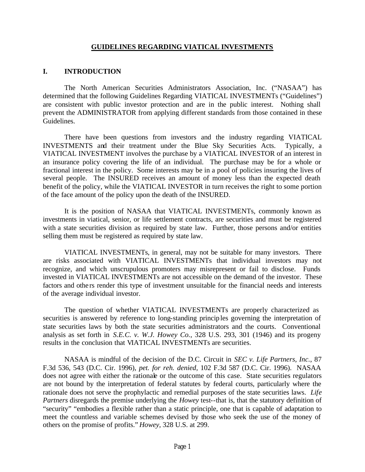#### **GUIDELINES REGARDING VIATICAL INVESTMENTS**

#### **I. INTRODUCTION**

The North American Securities Administrators Association, Inc. ("NASAA") has determined that the following Guidelines Regarding VIATICAL INVESTMENTs ("Guidelines") are consistent with public investor protection and are in the public interest. Nothing shall prevent the ADMINISTRATOR from applying different standards from those contained in these Guidelines.

There have been questions from investors and the industry regarding VIATICAL INVESTMENTS and their treatment under the Blue Sky Securities Acts. Typically, a VIATICAL INVESTMENT involves the purchase by a VIATICAL INVESTOR of an interest in an insurance policy covering the life of an individual. The purchase may be for a whole or fractional interest in the policy. Some interests may be in a pool of policies insuring the lives of several people. The INSURED receives an amount of money less than the expected death benefit of the policy, while the VIATICAL INVESTOR in turn receives the right to some portion of the face amount of the policy upon the death of the INSURED.

It is the position of NASAA that VIATICAL INVESTMENTs, commonly known as investments in viatical, senior, or life settlement contracts, are securities and must be registered with a state securities division as required by state law. Further, those persons and/or entities selling them must be registered as required by state law.

VIATICAL INVESTMENTs, in general, may not be suitable for many investors. There are risks associated with VIATICAL INVESTMENTs that individual investors may not recognize, and which unscrupulous promoters may misrepresent or fail to disclose. Funds invested in VIATICAL INVESTMENTs are not accessible on the demand of the investor. These factors and others render this type of investment unsuitable for the financial needs and interests of the average individual investor.

The question of whether VIATICAL INVESTMENTs are properly characterized as securities is answered by reference to long-standing principles governing the interpretation of state securities laws by both the state securities administrators and the courts. Conventional analysis as set forth in *S.E.C. v. W.J. Howey Co.*, 328 U.S. 293, 301 (1946) and its progeny results in the conclusion that VIATICAL INVESTMENTs are securities.

NASAA is mindful of the decision of the D.C. Circuit in *SEC v. Life Partners, Inc.*, 87 F.3d 536, 543 (D.C. Cir. 1996), *pet. for reh. denied,* 102 F.3d 587 (D.C. Cir. 1996). NASAA does not agree with either the rationale or the outcome of this case. State securities regulators are not bound by the interpretation of federal statutes by federal courts, particularly where the rationale does not serve the prophylactic and remedial purposes of the state securities laws. *Life Partners* disregards the premise underlying the *Howey* test--that is, that the statutory definition of "security" "embodies a flexible rather than a static principle, one that is capable of adaptation to meet the countless and variable schemes devised by those who seek the use of the money of others on the promise of profits." *Howey,* 328 U.S. at 299.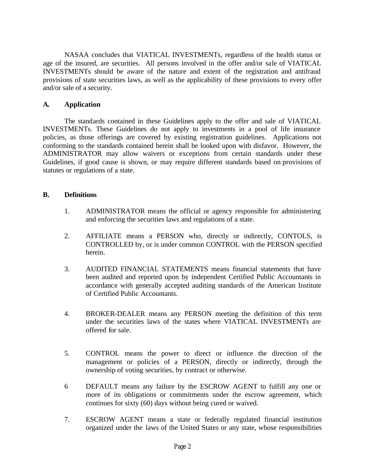NASAA concludes that VIATICAL INVESTMENTs, regardless of the health status or age of the insured, are securities. All persons involved in the offer and/or sale of VIATICAL INVESTMENTs should be aware of the nature and extent of the registration and antifraud provisions of state securities laws, as well as the applicability of these provisions to every offer and/or sale of a security.

## **A. Application**

The standards contained in these Guidelines apply to the offer and sale of VIATICAL INVESTMENTs. These Guidelines do not apply to investments in a pool of life insurance policies, as those offerings are covered by existing registration guidelines. Applications not conforming to the standards contained herein shall be looked upon with disfavor. However, the ADMINISTRATOR may allow waivers or exceptions from certain standards under these Guidelines, if good cause is shown, or may require different standards based on provisions of statutes or regulations of a state.

### **B. Definitions**

- 1. ADMINISTRATOR means the official or agency responsible for administering and enforcing the securities laws and regulations of a state.
- 2. AFFILIATE means a PERSON who, directly or indirectly, CONTOLS, is CONTROLLED by, or is under common CONTROL with the PERSON specified herein.
- 3. AUDITED FINANCIAL STATEMENTS means financial statements that have been audited and reported upon by independent Certified Public Accountants in accordance with generally accepted auditing standards of the American Institute of Certified Public Accountants.
- 4. BROKER-DEALER means any PERSON meeting the definition of this term under the securities laws of the states where VIATICAL INVESTMENTs are offered for sale.
- 5. CONTROL means the power to direct or influence the direction of the management or policies of a PERSON, directly or indirectly, through the ownership of voting securities, by contract or otherwise.
- 6 DEFAULT means any failure by the ESCROW AGENT to fulfill any one or more of its obligations or commitments under the escrow agreement, which continues for sixty (60) days without being cured or waived.
- 7. ESCROW AGENT means a state or federally regulated financial institution organized under the laws of the United States or any state, whose responsibilities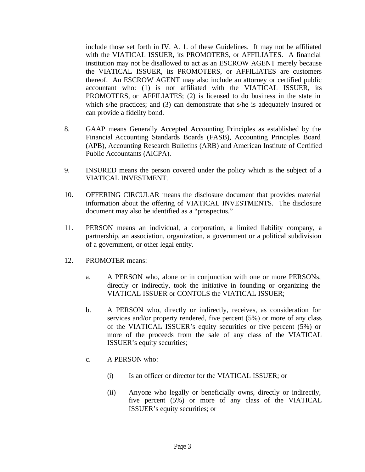include those set forth in IV. A. 1. of these Guidelines. It may not be affiliated with the VIATICAL ISSUER, its PROMOTERS, or AFFILIATES. A financial institution may not be disallowed to act as an ESCROW AGENT merely because the VIATICAL ISSUER, its PROMOTERS, or AFFILIATES are customers thereof. An ESCROW AGENT may also include an attorney or certified public accountant who: (1) is not affiliated with the VIATICAL ISSUER, its PROMOTERS, or AFFILIATES; (2) is licensed to do business in the state in which s/he practices; and (3) can demonstrate that s/he is adequately insured or can provide a fidelity bond.

- 8. GAAP means Generally Accepted Accounting Principles as established by the Financial Accounting Standards Boards (FASB), Accounting Principles Board (APB), Accounting Research Bulletins (ARB) and American Institute of Certified Public Accountants (AICPA).
- 9. INSURED means the person covered under the policy which is the subject of a VIATICAL INVESTMENT.
- 10. OFFERING CIRCULAR means the disclosure document that provides material information about the offering of VIATICAL INVESTMENTS. The disclosure document may also be identified as a "prospectus."
- 11. PERSON means an individual, a corporation, a limited liability company, a partnership, an association, organization, a government or a political subdivision of a government, or other legal entity.
- 12. PROMOTER means:
	- a. A PERSON who, alone or in conjunction with one or more PERSONs, directly or indirectly, took the initiative in founding or organizing the VIATICAL ISSUER or CONTOLS the VIATICAL ISSUER;
	- b. A PERSON who, directly or indirectly, receives, as consideration for services and/or property rendered, five percent (5%) or more of any class of the VIATICAL ISSUER's equity securities or five percent (5%) or more of the proceeds from the sale of any class of the VIATICAL ISSUER's equity securities;
	- c. A PERSON who:
		- (i) Is an officer or director for the VIATICAL ISSUER; or
		- (ii) Anyone who legally or beneficially owns, directly or indirectly, five percent (5%) or more of any class of the VIATICAL ISSUER's equity securities; or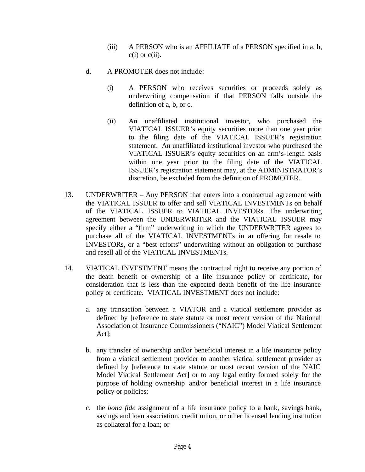- (iii) A PERSON who is an AFFILIATE of a PERSON specified in a, b,  $c(i)$  or  $c(ii)$ .
- d. A PROMOTER does not include:
	- (i) A PERSON who receives securities or proceeds solely as underwriting compensation if that PERSON falls outside the definition of a, b, or c.
	- (ii) An unaffiliated institutional investor, who purchased the VIATICAL ISSUER's equity securities more than one year prior to the filing date of the VIATICAL ISSUER's registration statement. An unaffiliated institutional investor who purchased the VIATICAL ISSUER's equity securities on an arm's-length basis within one year prior to the filing date of the VIATICAL ISSUER's registration statement may, at the ADMINISTRATOR's discretion, be excluded from the definition of PROMOTER.
- 13. UNDERWRITER Any PERSON that enters into a contractual agreement with the VIATICAL ISSUER to offer and sell VIATICAL INVESTMENTs on behalf of the VIATICAL ISSUER to VIATICAL INVESTORs. The underwriting agreement between the UNDERWRITER and the VIATICAL ISSUER may specify either a "firm" underwriting in which the UNDERWRITER agrees to purchase all of the VIATICAL INVESTMENTs in an offering for resale to INVESTORs, or a "best efforts" underwriting without an obligation to purchase and resell all of the VIATICAL INVESTMENTs.
- 14. VIATICAL INVESTMENT means the contractual right to receive any portion of the death benefit or ownership of a life insurance policy or certificate, for consideration that is less than the expected death benefit of the life insurance policy or certificate. VIATICAL INVESTMENT does not include:
	- a. any transaction between a VIATOR and a viatical settlement provider as defined by [reference to state statute or most recent version of the National Association of Insurance Commissioners ("NAIC") Model Viatical Settlement Act];
	- b. any transfer of ownership and/or beneficial interest in a life insurance policy from a viatical settlement provider to another viatical settlement provider as defined by [reference to state statute or most recent version of the NAIC Model Viatical Settlement Act] or to any legal entity formed solely for the purpose of holding ownership and/or beneficial interest in a life insurance policy or policies;
	- c. the *bona fide* assignment of a life insurance policy to a bank, savings bank, savings and loan association, credit union, or other licensed lending institution as collateral for a loan; or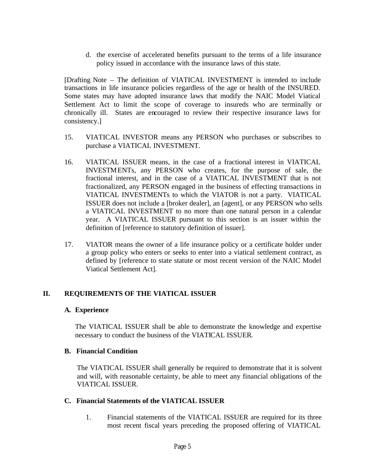d. the exercise of accelerated benefits pursuant to the terms of a life insurance policy issued in accordance with the insurance laws of this state.

[Drafting Note – The definition of VIATICAL INVESTMENT is intended to include transactions in life insurance policies regardless of the age or health of the INSURED. Some states may have adopted insurance laws that modify the NAIC Model Viatical Settlement Act to limit the scope of coverage to insureds who are terminally or chronically ill. States are encouraged to review their respective insurance laws for consistency.]

- 15. VIATICAL INVESTOR means any PERSON who purchases or subscribes to purchase a VIATICAL INVESTMENT.
- 16. VIATICAL ISSUER means, in the case of a fractional interest in VIATICAL INVESTMENTs, any PERSON who creates, for the purpose of sale, the fractional interest, and in the case of a VIATICAL INVESTMENT that is not fractionalized, any PERSON engaged in the business of effecting transactions in VIATICAL INVESTMENTs to which the VIATOR is not a party. VIATICAL ISSUER does not include a [broker dealer], an [agent], or any PERSON who sells a VIATICAL INVESTMENT to no more than one natural person in a calendar year. A VIATICAL ISSUER pursuant to this section is an issuer within the definition of [reference to statutory definition of issuer].
- 17. VIATOR means the owner of a life insurance policy or a certificate holder under a group policy who enters or seeks to enter into a viatical settlement contract, as defined by [reference to state statute or most recent version of the NAIC Model Viatical Settlement Act].

## **II. REQUIREMENTS OF THE VIATICAL ISSUER**

### **A. Experience**

The VIATICAL ISSUER shall be able to demonstrate the knowledge and expertise necessary to conduct the business of the VIATICAL ISSUER.

### **B. Financial Condition**

The VIATICAL ISSUER shall generally be required to demonstrate that it is solvent and will, with reasonable certainty, be able to meet any financial obligations of the VIATICAL ISSUER.

## **C. Financial Statements of the VIATICAL ISSUER**

1. Financial statements of the VIATICAL ISSUER are required for its three most recent fiscal years preceding the proposed offering of VIATICAL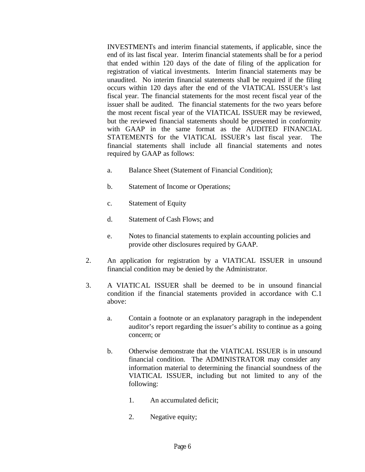INVESTMENTs and interim financial statements, if applicable, since the end of its last fiscal year. Interim financial statements shall be for a period that ended within 120 days of the date of filing of the application for registration of viatical investments. Interim financial statements may be unaudited. No interim financial statements shall be required if the filing occurs within 120 days after the end of the VIATICAL ISSUER's last fiscal year. The financial statements for the most recent fiscal year of the issuer shall be audited. The financial statements for the two years before the most recent fiscal year of the VIATICAL ISSUER may be reviewed, but the reviewed financial statements should be presented in conformity with GAAP in the same format as the AUDITED FINANCIAL STATEMENTS for the VIATICAL ISSUER's last fiscal year. The financial statements shall include all financial statements and notes required by GAAP as follows:

- a. Balance Sheet (Statement of Financial Condition);
- b. Statement of Income or Operations;
- c. Statement of Equity
- d. Statement of Cash Flows; and
- e. Notes to financial statements to explain accounting policies and provide other disclosures required by GAAP.
- 2. An application for registration by a VIATICAL ISSUER in unsound financial condition may be denied by the Administrator.
- 3. A VIATICAL ISSUER shall be deemed to be in unsound financial condition if the financial statements provided in accordance with C.1 above:
	- a. Contain a footnote or an explanatory paragraph in the independent auditor's report regarding the issuer's ability to continue as a going concern; or
	- b. Otherwise demonstrate that the VIATICAL ISSUER is in unsound financial condition. The ADMINISTRATOR may consider any information material to determining the financial soundness of the VIATICAL ISSUER, including but not limited to any of the following:
		- 1. An accumulated deficit;
		- 2. Negative equity;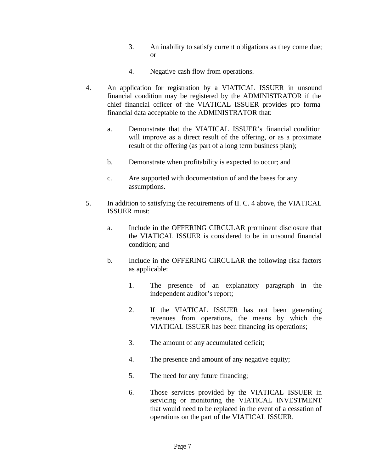- 3. An inability to satisfy current obligations as they come due; or
- 4. Negative cash flow from operations.
- 4. An application for registration by a VIATICAL ISSUER in unsound financial condition may be registered by the ADMINISTRATOR if the chief financial officer of the VIATICAL ISSUER provides pro forma financial data acceptable to the ADMINISTRATOR that:
	- a. Demonstrate that the VIATICAL ISSUER's financial condition will improve as a direct result of the offering, or as a proximate result of the offering (as part of a long term business plan);
	- b. Demonstrate when profitability is expected to occur; and
	- c. Are supported with documentation of and the bases for any assumptions.
- 5. In addition to satisfying the requirements of II. C. 4 above, the VIATICAL ISSUER must:
	- a. Include in the OFFERING CIRCULAR prominent disclosure that the VIATICAL ISSUER is considered to be in unsound financial condition; and
	- b. Include in the OFFERING CIRCULAR the following risk factors as applicable:
		- 1. The presence of an explanatory paragraph in the independent auditor's report;
		- 2. If the VIATICAL ISSUER has not been generating revenues from operations, the means by which the VIATICAL ISSUER has been financing its operations;
		- 3. The amount of any accumulated deficit;
		- 4. The presence and amount of any negative equity;
		- 5. The need for any future financing;
		- 6. Those services provided by the VIATICAL ISSUER in servicing or monitoring the VIATICAL INVESTMENT that would need to be replaced in the event of a cessation of operations on the part of the VIATICAL ISSUER.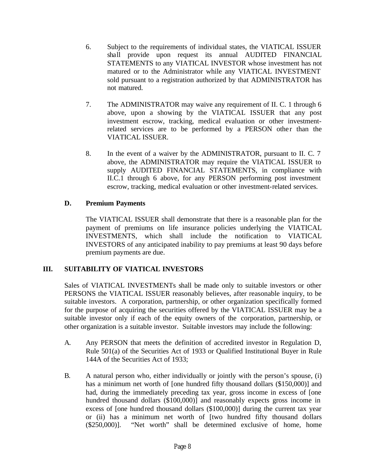- 6. Subject to the requirements of individual states, the VIATICAL ISSUER shall provide upon request its annual AUDITED FINANCIAL STATEMENTS to any VIATICAL INVESTOR whose investment has not matured or to the Administrator while any VIATICAL INVESTMENT sold pursuant to a registration authorized by that ADMINISTRATOR has not matured.
- 7. The ADMINISTRATOR may waive any requirement of II. C. 1 through 6 above, upon a showing by the VIATICAL ISSUER that any post investment escrow, tracking, medical evaluation or other investmentrelated services are to be performed by a PERSON other than the VIATICAL ISSUER.
- 8. In the event of a waiver by the ADMINISTRATOR, pursuant to II. C. 7 above, the ADMINISTRATOR may require the VIATICAL ISSUER to supply AUDITED FINANCIAL STATEMENTS, in compliance with II.C.1 through 6 above, for any PERSON performing post investment escrow, tracking, medical evaluation or other investment-related services.

# **D. Premium Payments**

The VIATICAL ISSUER shall demonstrate that there is a reasonable plan for the payment of premiums on life insurance policies underlying the VIATICAL INVESTMENTS, which shall include the notification to VIATICAL INVESTORS of any anticipated inability to pay premiums at least 90 days before premium payments are due.

# **III. SUITABILITY OF VIATICAL INVESTORS**

Sales of VIATICAL INVESTMENTs shall be made only to suitable investors or other PERSONS the VIATICAL ISSUER reasonably believes, after reasonable inquiry, to be suitable investors. A corporation, partnership, or other organization specifically formed for the purpose of acquiring the securities offered by the VIATICAL ISSUER may be a suitable investor only if each of the equity owners of the corporation, partnership, or other organization is a suitable investor. Suitable investors may include the following:

- A. Any PERSON that meets the definition of accredited investor in Regulation D, Rule 501(a) of the Securities Act of 1933 or Qualified Institutional Buyer in Rule 144A of the Securities Act of 1933;
- B. A natural person who, either individually or jointly with the person's spouse, (i) has a minimum net worth of [one hundred fifty thousand dollars (\$150,000)] and had, during the immediately preceding tax year, gross income in excess of [one hundred thousand dollars (\$100,000)] and reasonably expects gross income in excess of [one hundred thousand dollars (\$100,000)] during the current tax year or (ii) has a minimum net worth of [two hundred fifty thousand dollars (\$250,000)]. "Net worth" shall be determined exclusive of home, home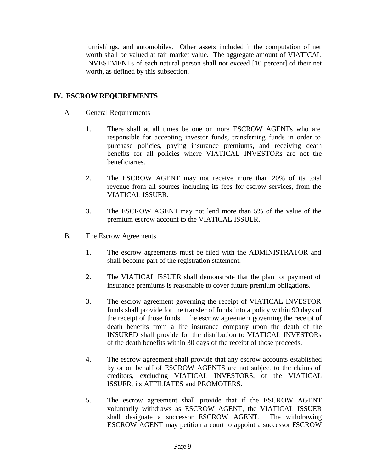furnishings, and automobiles. Other assets included in the computation of net worth shall be valued at fair market value. The aggregate amount of VIATICAL INVESTMENTs of each natural person shall not exceed [10 percent] of their net worth, as defined by this subsection.

## **IV. ESCROW REQUIREMENTS**

- A. General Requirements
	- 1. There shall at all times be one or more ESCROW AGENTs who are responsible for accepting investor funds, transferring funds in order to purchase policies, paying insurance premiums, and receiving death benefits for all policies where VIATICAL INVESTORs are not the beneficiaries.
	- 2. The ESCROW AGENT may not receive more than 20% of its total revenue from all sources including its fees for escrow services, from the VIATICAL ISSUER.
	- 3. The ESCROW AGENT may not lend more than 5% of the value of the premium escrow account to the VIATICAL ISSUER.
- B. The Escrow Agreements
	- 1. The escrow agreements must be filed with the ADMINISTRATOR and shall become part of the registration statement.
	- 2. The VIATICAL ISSUER shall demonstrate that the plan for payment of insurance premiums is reasonable to cover future premium obligations.
	- 3. The escrow agreement governing the receipt of VIATICAL INVESTOR funds shall provide for the transfer of funds into a policy within 90 days of the receipt of those funds. The escrow agreement governing the receipt of death benefits from a life insurance company upon the death of the INSURED shall provide for the distribution to VIATICAL INVESTORs of the death benefits within 30 days of the receipt of those proceeds.
	- 4. The escrow agreement shall provide that any escrow accounts established by or on behalf of ESCROW AGENTS are not subject to the claims of creditors, excluding VIATICAL INVESTORS, of the VIATICAL ISSUER, its AFFILIATES and PROMOTERS.
	- 5. The escrow agreement shall provide that if the ESCROW AGENT voluntarily withdraws as ESCROW AGENT, the VIATICAL ISSUER shall designate a successor ESCROW AGENT. The withdrawing ESCROW AGENT may petition a court to appoint a successor ESCROW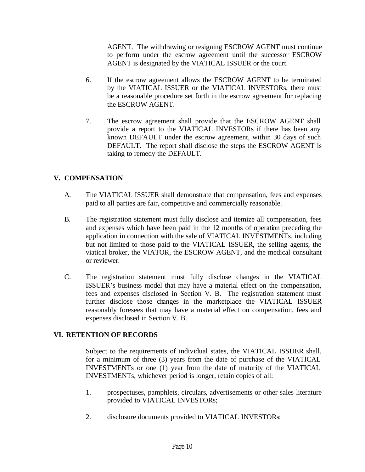AGENT. The withdrawing or resigning ESCROW AGENT must continue to perform under the escrow agreement until the successor ESCROW AGENT is designated by the VIATICAL ISSUER or the court.

- 6. If the escrow agreement allows the ESCROW AGENT to be terminated by the VIATICAL ISSUER or the VIATICAL INVESTORs, there must be a reasonable procedure set forth in the escrow agreement for replacing the ESCROW AGENT.
- 7. The escrow agreement shall provide that the ESCROW AGENT shall provide a report to the VIATICAL INVESTORs if there has been any known DEFAULT under the escrow agreement, within 30 days of such DEFAULT. The report shall disclose the steps the ESCROW AGENT is taking to remedy the DEFAULT.

# **V. COMPENSATION**

- A. The VIATICAL ISSUER shall demonstrate that compensation, fees and expenses paid to all parties are fair, competitive and commercially reasonable.
- B. The registration statement must fully disclose and itemize all compensation, fees and expenses which have been paid in the 12 months of operation preceding the application in connection with the sale of VIATICAL INVESTMENTs, including but not limited to those paid to the VIATICAL ISSUER, the selling agents, the viatical broker, the VIATOR, the ESCROW AGENT, and the medical consultant or reviewer.
- C. The registration statement must fully disclose changes in the VIATICAL ISSUER's business model that may have a material effect on the compensation, fees and expenses disclosed in Section V. B. The registration statement must further disclose those changes in the marketplace the VIATICAL ISSUER reasonably foresees that may have a material effect on compensation, fees and expenses disclosed in Section V. B.

## **VI. RETENTION OF RECORDS**

Subject to the requirements of individual states, the VIATICAL ISSUER shall, for a minimum of three (3) years from the date of purchase of the VIATICAL INVESTMENTs or one (1) year from the date of maturity of the VIATICAL INVESTMENTs, whichever period is longer, retain copies of all:

- 1. prospectuses, pamphlets, circulars, advertisements or other sales literature provided to VIATICAL INVESTORs;
- 2. disclosure documents provided to VIATICAL INVESTORs;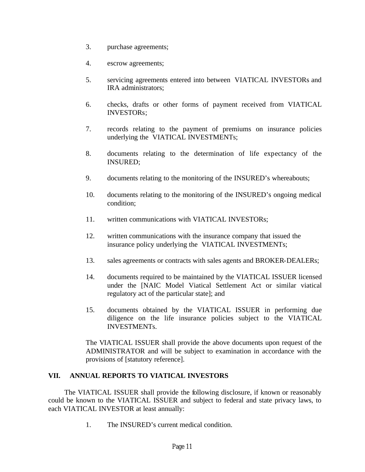- 3. purchase agreements;
- 4. escrow agreements;
- 5. servicing agreements entered into between VIATICAL INVESTORs and IRA administrators;
- 6. checks, drafts or other forms of payment received from VIATICAL INVESTORs;
- 7. records relating to the payment of premiums on insurance policies underlying the VIATICAL INVESTMENTs;
- 8. documents relating to the determination of life expectancy of the INSURED;
- 9. documents relating to the monitoring of the INSURED's whereabouts;
- 10. documents relating to the monitoring of the INSURED's ongoing medical condition;
- 11. written communications with VIATICAL INVESTORs;
- 12. written communications with the insurance company that issued the insurance policy underlying the VIATICAL INVESTMENTs;
- 13. sales agreements or contracts with sales agents and BROKER-DEALERs;
- 14. documents required to be maintained by the VIATICAL ISSUER licensed under the [NAIC Model Viatical Settlement Act or similar viatical regulatory act of the particular state]; and
- 15. documents obtained by the VIATICAL ISSUER in performing due diligence on the life insurance policies subject to the VIATICAL INVESTMENTs.

The VIATICAL ISSUER shall provide the above documents upon request of the ADMINISTRATOR and will be subject to examination in accordance with the provisions of [statutory reference].

## **VII. ANNUAL REPORTS TO VIATICAL INVESTORS**

The VIATICAL ISSUER shall provide the following disclosure, if known or reasonably could be known to the VIATICAL ISSUER and subject to federal and state privacy laws, to each VIATICAL INVESTOR at least annually:

1. The INSURED's current medical condition.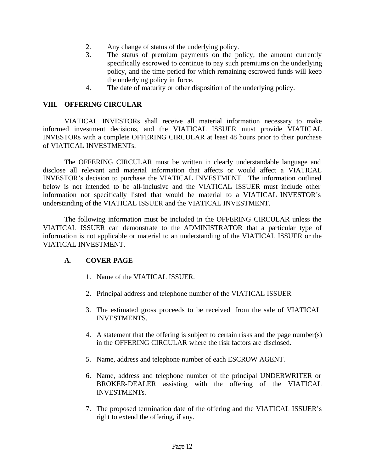- 2. Any change of status of the underlying policy.
- 3. The status of premium payments on the policy, the amount currently specifically escrowed to continue to pay such premiums on the underlying policy, and the time period for which remaining escrowed funds will keep the underlying policy in force.
- 4. The date of maturity or other disposition of the underlying policy.

### **VIII. OFFERING CIRCULAR**

VIATICAL INVESTORs shall receive all material information necessary to make informed investment decisions, and the VIATICAL ISSUER must provide VIATICAL INVESTORs with a complete OFFERING CIRCULAR at least 48 hours prior to their purchase of VIATICAL INVESTMENTs.

The OFFERING CIRCULAR must be written in clearly understandable language and disclose all relevant and material information that affects or would affect a VIATICAL INVESTOR's decision to purchase the VIATICAL INVESTMENT. The information outlined below is not intended to be all-inclusive and the VIATICAL ISSUER must include other information not specifically listed that would be material to a VIATICAL INVESTOR's understanding of the VIATICAL ISSUER and the VIATICAL INVESTMENT.

The following information must be included in the OFFERING CIRCULAR unless the VIATICAL ISSUER can demonstrate to the ADMINISTRATOR that a particular type of information is not applicable or material to an understanding of the VIATICAL ISSUER or the VIATICAL INVESTMENT.

## **A. COVER PAGE**

- 1. Name of the VIATICAL ISSUER.
- 2. Principal address and telephone number of the VIATICAL ISSUER
- 3. The estimated gross proceeds to be received from the sale of VIATICAL INVESTMENTS.
- 4. A statement that the offering is subject to certain risks and the page number(s) in the OFFERING CIRCULAR where the risk factors are disclosed.
- 5. Name, address and telephone number of each ESCROW AGENT.
- 6. Name, address and telephone number of the principal UNDERWRITER or BROKER-DEALER assisting with the offering of the VIATICAL INVESTMENTs.
- 7. The proposed termination date of the offering and the VIATICAL ISSUER's right to extend the offering, if any.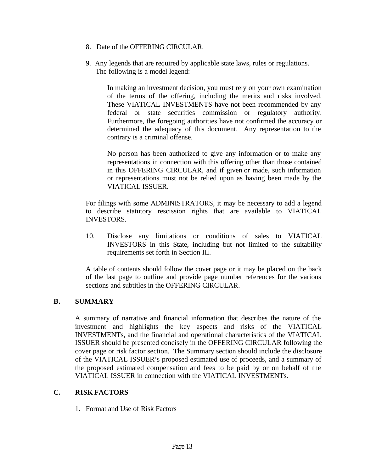- 8. Date of the OFFERING CIRCULAR.
- 9. Any legends that are required by applicable state laws, rules or regulations. The following is a model legend:

In making an investment decision, you must rely on your own examination of the terms of the offering, including the merits and risks involved. These VIATICAL INVESTMENTS have not been recommended by any federal or state securities commission or regulatory authority. Furthermore, the foregoing authorities have not confirmed the accuracy or determined the adequacy of this document. Any representation to the contrary is a criminal offense.

No person has been authorized to give any information or to make any representations in connection with this offering other than those contained in this OFFERING CIRCULAR, and if given or made, such information or representations must not be relied upon as having been made by the VIATICAL ISSUER.

For filings with some ADMINISTRATORS, it may be necessary to add a legend to describe statutory rescission rights that are available to VIATICAL INVESTORS.

10. Disclose any limitations or conditions of sales to VIATICAL INVESTORS in this State, including but not limited to the suitability requirements set forth in Section III.

A table of contents should follow the cover page or it may be placed on the back of the last page to outline and provide page number references for the various sections and subtitles in the OFFERING CIRCULAR.

## **B. SUMMARY**

A summary of narrative and financial information that describes the nature of the investment and highlights the key aspects and risks of the VIATICAL INVESTMENTs, and the financial and operational characteristics of the VIATICAL ISSUER should be presented concisely in the OFFERING CIRCULAR following the cover page or risk factor section. The Summary section should include the disclosure of the VIATICAL ISSUER's proposed estimated use of proceeds, and a summary of the proposed estimated compensation and fees to be paid by or on behalf of the VIATICAL ISSUER in connection with the VIATICAL INVESTMENTs.

# **C. RISK FACTORS**

1. Format and Use of Risk Factors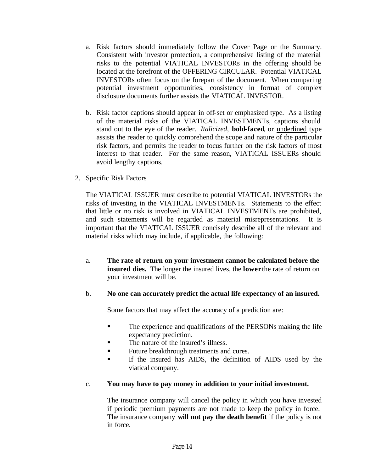- a. Risk factors should immediately follow the Cover Page or the Summary. Consistent with investor protection, a comprehensive listing of the material risks to the potential VIATICAL INVESTORs in the offering should be located at the forefront of the OFFERING CIRCULAR. Potential VIATICAL INVESTORs often focus on the forepart of the document. When comparing potential investment opportunities, consistency in format of complex disclosure documents further assists the VIATICAL INVESTOR.
- b. Risk factor captions should appear in off-set or emphasized type. As a listing of the material risks of the VIATICAL INVESTMENTs, captions should stand out to the eye of the reader. *Italicized,* **bold-faced**, or underlined type assists the reader to quickly comprehend the scope and nature of the particular risk factors, and permits the reader to focus further on the risk factors of most interest to that reader. For the same reason, VIATICAL ISSUERs should avoid lengthy captions.
- 2. Specific Risk Factors

The VIATICAL ISSUER must describe to potential VIATICAL INVESTORs the risks of investing in the VIATICAL INVESTMENTs. Statements to the effect that little or no risk is involved in VIATICAL INVESTMENTs are prohibited, and such statements will be regarded as material misrepresentations. It is important that the VIATICAL ISSUER concisely describe all of the relevant and material risks which may include, if applicable, the following:

a. **The rate of return on your investment cannot be calculated before the insured dies.** The longer the insured lives, the **lower** the rate of return on your investment will be.

### b. **No one can accurately predict the actual life expectancy of an insured.**

Some factors that may affect the accuracy of a prediction are:

- **The experience and qualifications of the PERSONs making the life** expectancy prediction.
- The nature of the insured's illness.
- **Example 3** Future breakthrough treatments and cures.
- ß If the insured has AIDS, the definition of AIDS used by the viatical company.

## c. **You may have to pay money in addition to your initial investment.**

The insurance company will cancel the policy in which you have invested if periodic premium payments are not made to keep the policy in force. The insurance company **will not pay the death benefit** if the policy is not in force.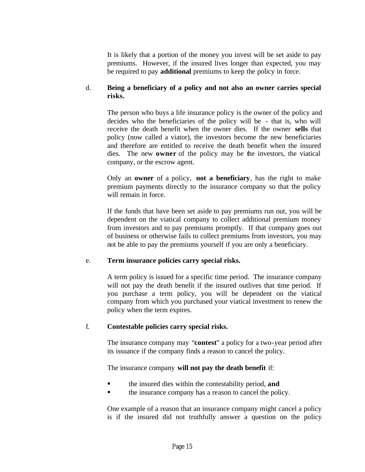It is likely that a portion of the money you invest will be set aside to pay premiums. However, if the insured lives longer than expected, you may be required to pay **additional** premiums to keep the policy in force.

## d. **Being a beneficiary of a policy and not also an owner carries special risks.**

The person who buys a life insurance policy is the owner of the policy and decides who the beneficiaries of the policy will be - that is, who will receive the death benefit when the owner dies. If the owner **sells** that policy (now called a viator), the investors become the new beneficiaries and therefore are entitled to receive the death benefit when the insured dies. The new **owner** of the policy may be the investors, the viatical company, or the escrow agent.

Only an **owner** of a policy, **not a beneficiary**, has the right to make premium payments directly to the insurance company so that the policy will remain in force.

If the funds that have been set aside to pay premiums run out, you will be dependent on the viatical company to collect additional premium money from investors and to pay premiums promptly. If that company goes out of business or otherwise fails to collect premiums from investors, you may not be able to pay the premiums yourself if you are only a beneficiary.

## e. **Term insurance policies carry special risks.**

A term policy is issued for a specific time period. The insurance company will not pay the death benefit if the insured outlives that time period. If you purchase a term policy, you will be dependent on the viatical company from which you purchased your viatical investment to renew the policy when the term expires.

## f. **Contestable policies carry special risks.**

The insurance company may "**contest**" a policy for a two-year period after its issuance if the company finds a reason to cancel the policy.

## The insurance company **will not pay the death benefit** if:

- ß the insured dies within the contestability period, **and**
- ß the insurance company has a reason to cancel the policy.

One example of a reason that an insurance company might cancel a policy is if the insured did not truthfully answer a question on the policy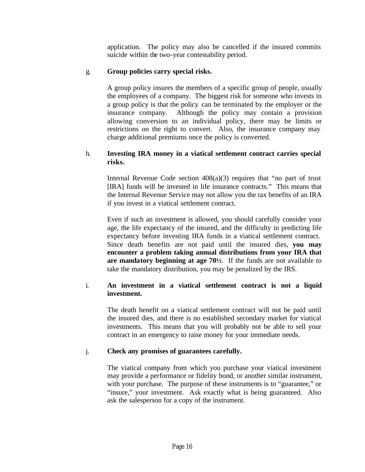application. The policy may also be cancelled if the insured commits suicide within the two-year contestability period.

# g. **Group policies carry special risks.**

A group policy insures the members of a specific group of people, usually the employees of a company. The biggest risk for someone who invests in a group policy is that the policy can be terminated by the employer or the insurance company. Although the policy may contain a provision allowing conversion to an individual policy, there may be limits or restrictions on the right to convert. Also, the insurance company may charge additional premiums once the policy is converted.

## h. **Investing IRA money in a viatical settlement contract carries special risks.**

Internal Revenue Code section  $408(a)(3)$  requires that "no part of trust" [IRA] funds will be invested in life insurance contracts." This means that the Internal Revenue Service may not allow you the tax benefits of an IRA if you invest in a viatical settlement contract.

Even if such an investment is allowed, you should carefully consider your age, the life expectancy of the insured, and the difficulty in predicting life expectancy before investing IRA funds in a viatical settlement contract. Since death benefits are not paid until the insured dies, **you may encounter a problem taking annual distributions from your IRA that are mandatory beginning at age 70½**. If the funds are not available to take the mandatory distribution, you may be penalized by the IRS.

## i. **An investment in a viatical settlement contract is not a liquid investment.**

The death benefit on a viatical settlement contract will not be paid until the insured dies, and there is no established secondary market for viatical investments. This means that you will probably not be able to sell your contract in an emergency to raise money for your immediate needs.

## j. **Check any promises of guarantees carefully.**

The viatical company from which you purchase your viatical investment may provide a performance or fidelity bond, or another similar instrument, with your purchase. The purpose of these instruments is to "guarantee," or "insure," your investment. Ask exactly what is being guaranteed. Also ask the salesperson for a copy of the instrument.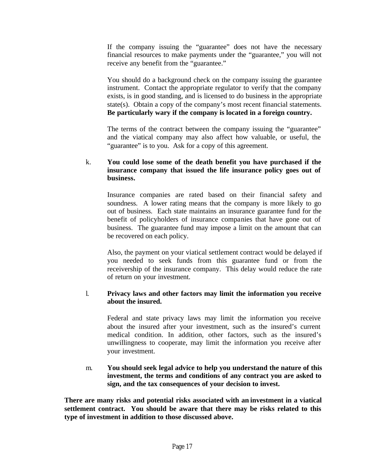If the company issuing the "guarantee" does not have the necessary financial resources to make payments under the "guarantee," you will not receive any benefit from the "guarantee."

You should do a background check on the company issuing the guarantee instrument. Contact the appropriate regulator to verify that the company exists, is in good standing, and is licensed to do business in the appropriate state(s). Obtain a copy of the company's most recent financial statements. **Be particularly wary if the company is located in a foreign country.**

The terms of the contract between the company issuing the "guarantee" and the viatical company may also affect how valuable, or useful, the "guarantee" is to you. Ask for a copy of this agreement.

## k. **You could lose some of the death benefit you have purchased if the insurance company that issued the life insurance policy goes out of business.**

Insurance companies are rated based on their financial safety and soundness. A lower rating means that the company is more likely to go out of business. Each state maintains an insurance guarantee fund for the benefit of policyholders of insurance companies that have gone out of business. The guarantee fund may impose a limit on the amount that can be recovered on each policy.

Also, the payment on your viatical settlement contract would be delayed if you needed to seek funds from this guarantee fund or from the receivership of the insurance company. This delay would reduce the rate of return on your investment.

### l. **Privacy laws and other factors may limit the information you receive about the insured.**

Federal and state privacy laws may limit the information you receive about the insured after your investment, such as the insured's current medical condition. In addition, other factors, such as the insured's unwillingness to cooperate, may limit the information you receive after your investment.

### m. **You should seek legal advice to help you understand the nature of this investment, the terms and conditions of any contract you are asked to sign, and the tax consequences of your decision to invest.**

**There are many risks and potential risks associated with an investment in a viatical settlement contract. You should be aware that there may be risks related to this type of investment in addition to those discussed above.**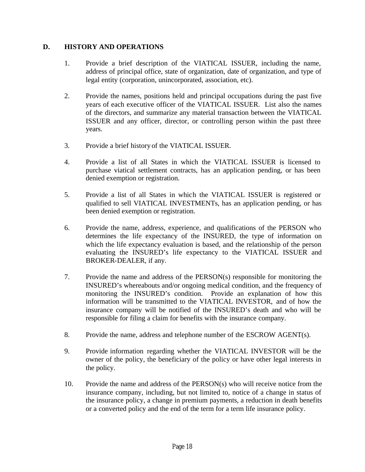## **D. HISTORY AND OPERATIONS**

- 1. Provide a brief description of the VIATICAL ISSUER, including the name, address of principal office, state of organization, date of organization, and type of legal entity (corporation, unincorporated, association, etc).
- 2. Provide the names, positions held and principal occupations during the past five years of each executive officer of the VIATICAL ISSUER. List also the names of the directors, and summarize any material transaction between the VIATICAL ISSUER and any officer, director, or controlling person within the past three years.
- 3. Provide a brief history of the VIATICAL ISSUER.
- 4. Provide a list of all States in which the VIATICAL ISSUER is licensed to purchase viatical settlement contracts, has an application pending, or has been denied exemption or registration.
- 5. Provide a list of all States in which the VIATICAL ISSUER is registered or qualified to sell VIATICAL INVESTMENTs, has an application pending, or has been denied exemption or registration.
- 6. Provide the name, address, experience, and qualifications of the PERSON who determines the life expectancy of the INSURED, the type of information on which the life expectancy evaluation is based, and the relationship of the person evaluating the INSURED's life expectancy to the VIATICAL ISSUER and BROKER-DEALER, if any.
- 7. Provide the name and address of the PERSON(s) responsible for monitoring the INSURED's whereabouts and/or ongoing medical condition, and the frequency of monitoring the INSURED's condition. Provide an explanation of how this information will be transmitted to the VIATICAL INVESTOR, and of how the insurance company will be notified of the INSURED's death and who will be responsible for filing a claim for benefits with the insurance company.
- 8. Provide the name, address and telephone number of the ESCROW AGENT(s).
- 9. Provide information regarding whether the VIATICAL INVESTOR will be the owner of the policy, the beneficiary of the policy or have other legal interests in the policy.
- 10. Provide the name and address of the PERSON(s) who will receive notice from the insurance company, including, but not limited to, notice of a change in status of the insurance policy, a change in premium payments, a reduction in death benefits or a converted policy and the end of the term for a term life insurance policy.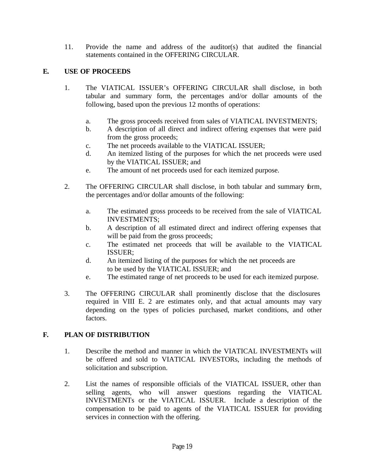11. Provide the name and address of the auditor(s) that audited the financial statements contained in the OFFERING CIRCULAR.

# **E. USE OF PROCEEDS**

- 1. The VIATICAL ISSUER's OFFERING CIRCULAR shall disclose, in both tabular and summary form, the percentages and/or dollar amounts of the following, based upon the previous 12 months of operations:
	- a. The gross proceeds received from sales of VIATICAL INVESTMENTS;
	- b. A description of all direct and indirect offering expenses that were paid from the gross proceeds;
	- c. The net proceeds available to the VIATICAL ISSUER;
	- d. An itemized listing of the purposes for which the net proceeds were used by the VIATICAL ISSUER; and
	- e. The amount of net proceeds used for each itemized purpose.
- 2. The OFFERING CIRCULAR shall disclose, in both tabular and summary form, the percentages and/or dollar amounts of the following:
	- a. The estimated gross proceeds to be received from the sale of VIATICAL INVESTMENTS;
	- b. A description of all estimated direct and indirect offering expenses that will be paid from the gross proceeds;
	- c. The estimated net proceeds that will be available to the VIATICAL ISSUER;
	- d. An itemized listing of the purposes for which the net proceeds are to be used by the VIATICAL ISSUER; and
	- e. The estimated range of net proceeds to be used for each itemized purpose.
- 3. The OFFERING CIRCULAR shall prominently disclose that the disclosures required in VIII E. 2 are estimates only, and that actual amounts may vary depending on the types of policies purchased, market conditions, and other factors.

## **F. PLAN OF DISTRIBUTION**

- 1. Describe the method and manner in which the VIATICAL INVESTMENTs will be offered and sold to VIATICAL INVESTORs, including the methods of solicitation and subscription.
- 2. List the names of responsible officials of the VIATICAL ISSUER, other than selling agents, who will answer questions regarding the VIATICAL INVESTMENTs or the VIATICAL ISSUER. Include a description of the compensation to be paid to agents of the VIATICAL ISSUER for providing services in connection with the offering.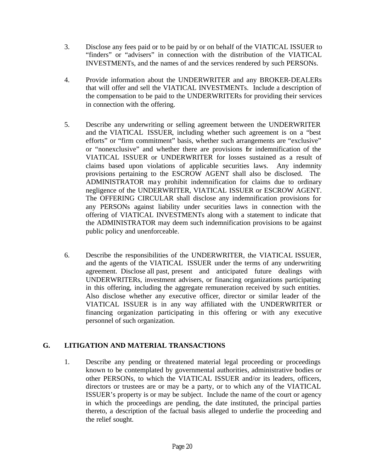- 3. Disclose any fees paid or to be paid by or on behalf of the VIATICAL ISSUER to "finders" or "advisers" in connection with the distribution of the VIATICAL INVESTMENTs, and the names of and the services rendered by such PERSONs.
- 4. Provide information about the UNDERWRITER and any BROKER-DEALERs that will offer and sell the VIATICAL INVESTMENTs. Include a description of the compensation to be paid to the UNDERWRITERs for providing their services in connection with the offering.
- 5. Describe any underwriting or selling agreement between the UNDERWRITER and the VIATICAL ISSUER, including whether such agreement is on a "best efforts" or "firm commitment" basis, whether such arrangements are "exclusive" or "nonexclusive" and whether there are provisions for indemnification of the VIATICAL ISSUER or UNDERWRITER for losses sustained as a result of claims based upon violations of applicable securities laws. Any indemnity provisions pertaining to the ESCROW AGENT shall also be disclosed. The ADMINISTRATOR may prohibit indemnification for claims due to ordinary negligence of the UNDERWRITER, VIATICAL ISSUER or ESCROW AGENT. The OFFERING CIRCULAR shall disclose any indemnification provisions for any PERSONs against liability under securities laws in connection with the offering of VIATICAL INVESTMENTs along with a statement to indicate that the ADMINISTRATOR may deem such indemnification provisions to be against public policy and unenforceable.
- 6. Describe the responsibilities of the UNDERWRITER, the VIATICAL ISSUER, and the agents of the VIATICAL ISSUER under the terms of any underwriting agreement. Disclose all past, present and anticipated future dealings with UNDERWRITERs, investment advisers, or financing organizations participating in this offering, including the aggregate remuneration received by such entities. Also disclose whether any executive officer, director or similar leader of the VIATICAL ISSUER is in any way affiliated with the UNDERWRITER or financing organization participating in this offering or with any executive personnel of such organization.

# **G. LITIGATION AND MATERIAL TRANSACTIONS**

1. Describe any pending or threatened material legal proceeding or proceedings known to be contemplated by governmental authorities, administrative bodies or other PERSONs, to which the VIATICAL ISSUER and/or its leaders, officers, directors or trustees are or may be a party, or to which any of the VIATICAL ISSUER's property is or may be subject. Include the name of the court or agency in which the proceedings are pending, the date instituted, the principal parties thereto, a description of the factual basis alleged to underlie the proceeding and the relief sought.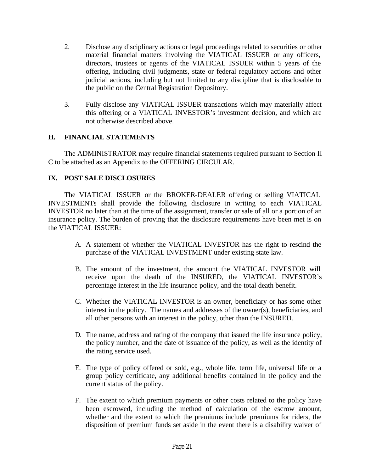- 2. Disclose any disciplinary actions or legal proceedings related to securities or other material financial matters involving the VIATICAL ISSUER or any officers, directors, trustees or agents of the VIATICAL ISSUER within 5 years of the offering, including civil judgments, state or federal regulatory actions and other judicial actions, including but not limited to any discipline that is disclosable to the public on the Central Registration Depository.
- 3. Fully disclose any VIATICAL ISSUER transactions which may materially affect this offering or a VIATICAL INVESTOR's investment decision, and which are not otherwise described above.

## **H. FINANCIAL STATEMENTS**

The ADMINISTRATOR may require financial statements required pursuant to Section II C to be attached as an Appendix to the OFFERING CIRCULAR.

## **IX. POST SALE DISCLOSURES**

The VIATICAL ISSUER or the BROKER-DEALER offering or selling VIATICAL INVESTMENTs shall provide the following disclosure in writing to each VIATICAL INVESTOR no later than at the time of the assignment, transfer or sale of all or a portion of an insurance policy. The burden of proving that the disclosure requirements have been met is on the VIATICAL ISSUER:

- A. A statement of whether the VIATICAL INVESTOR has the right to rescind the purchase of the VIATICAL INVESTMENT under existing state law.
- B. The amount of the investment, the amount the VIATICAL INVESTOR will receive upon the death of the INSURED, the VIATICAL INVESTOR's percentage interest in the life insurance policy, and the total death benefit.
- C. Whether the VIATICAL INVESTOR is an owner, beneficiary or has some other interest in the policy. The names and addresses of the owner(s), beneficiaries, and all other persons with an interest in the policy, other than the INSURED.
- D. The name, address and rating of the company that issued the life insurance policy, the policy number, and the date of issuance of the policy, as well as the identity of the rating service used.
- E. The type of policy offered or sold, e.g., whole life, term life, universal life or a group policy certificate, any additional benefits contained in the policy and the current status of the policy.
- F. The extent to which premium payments or other costs related to the policy have been escrowed, including the method of calculation of the escrow amount, whether and the extent to which the premiums include premiums for riders, the disposition of premium funds set aside in the event there is a disability waiver of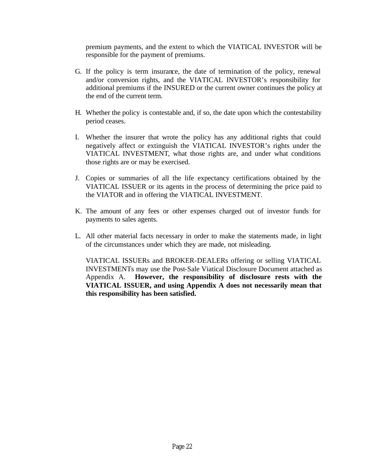premium payments, and the extent to which the VIATICAL INVESTOR will be responsible for the payment of premiums.

- G. If the policy is term insurance, the date of termination of the policy, renewal and/or conversion rights, and the VIATICAL INVESTOR's responsibility for additional premiums if the INSURED or the current owner continues the policy at the end of the current term.
- H. Whether the policy is contestable and, if so, the date upon which the contestability period ceases.
- I. Whether the insurer that wrote the policy has any additional rights that could negatively affect or extinguish the VIATICAL INVESTOR's rights under the VIATICAL INVESTMENT, what those rights are, and under what conditions those rights are or may be exercised.
- J. Copies or summaries of all the life expectancy certifications obtained by the VIATICAL ISSUER or its agents in the process of determining the price paid to the VIATOR and in offering the VIATICAL INVESTMENT.
- K. The amount of any fees or other expenses charged out of investor funds for payments to sales agents.
- L. All other material facts necessary in order to make the statements made, in light of the circumstances under which they are made, not misleading.

VIATICAL ISSUERs and BROKER-DEALERs offering or selling VIATICAL INVESTMENTs may use the Post-Sale Viatical Disclosure Document attached as Appendix A. **However, the responsibility of disclosure rests with the VIATICAL ISSUER, and using Appendix A does not necessarily mean that this responsibility has been satisfied.**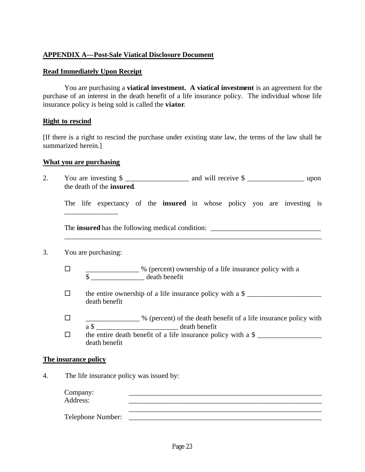## **APPENDIX A---Post-Sale Viatical Disclosure Document**

#### **Read Immediately Upon Receipt**

You are purchasing a **viatical investment. A viatical investment** is an agreement for the purchase of an interest in the death benefit of a life insurance policy. The individual whose life insurance policy is being sold is called the **viator**.

#### **Right to rescind**

[If there is a right to rescind the purchase under existing state law, the terms of the law shall be summarized herein.]

#### **What you are purchasing**

2. You are investing \$ the death of the **insured**.

The life expectancy of the **insured** in whose policy you are investing is

\_\_\_\_\_\_\_\_\_\_\_\_\_\_\_\_\_\_\_\_\_\_\_\_\_\_\_\_\_\_\_\_\_\_\_\_\_\_\_\_\_\_\_\_\_\_\_\_\_\_\_\_\_\_\_\_\_\_\_\_\_\_\_\_\_\_\_\_\_\_\_\_

The **insured** has the following medical condition: \_\_\_\_\_\_\_\_\_\_\_\_\_\_\_\_\_\_\_\_\_\_\_\_\_\_\_\_\_\_\_

### 3. You are purchasing:

\_\_\_\_\_\_\_\_\_\_\_\_\_\_\_

- □ \_\_\_\_\_\_\_\_\_\_\_\_\_\_\_ % (percent) ownership of a life insurance policy with a \$ \_\_\_\_\_\_\_\_\_\_\_\_\_\_\_ death benefit
- $\square$  the entire ownership of a life insurance policy with a \$ death benefit
- $\square$  \_\_\_\_\_\_\_\_\_\_\_\_\_\_\_\_ % (percent) of the death benefit of a life insurance policy with a \$ death benefit

 $\square$  the entire death benefit of a life insurance policy with a \$ death benefit

#### **The insurance policy**

4. The life insurance policy was issued by:

Company: Address: \_\_\_\_\_\_\_\_\_\_\_\_\_\_\_\_\_\_\_\_\_\_\_\_\_\_\_\_\_\_\_\_\_\_\_\_\_\_\_\_\_\_\_\_\_\_\_\_\_\_\_\_\_\_

\_\_\_\_\_\_\_\_\_\_\_\_\_\_\_\_\_\_\_\_\_\_\_\_\_\_\_\_\_\_\_\_\_\_\_\_\_\_\_\_\_\_\_\_\_\_\_\_\_\_\_\_\_\_ Telephone Number: \_\_\_\_\_\_\_\_\_\_\_\_\_\_\_\_\_\_\_\_\_\_\_\_\_\_\_\_\_\_\_\_\_\_\_\_\_\_\_\_\_\_\_\_\_\_\_\_\_\_\_\_\_\_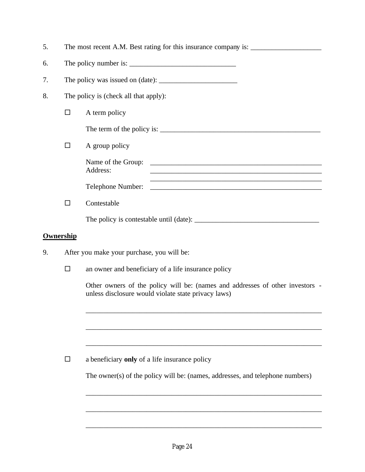| 5.                                                                                                                                   |                                            |                                                                                                                                       |  |  |  |  |  |
|--------------------------------------------------------------------------------------------------------------------------------------|--------------------------------------------|---------------------------------------------------------------------------------------------------------------------------------------|--|--|--|--|--|
| 6.                                                                                                                                   |                                            |                                                                                                                                       |  |  |  |  |  |
| 7.                                                                                                                                   |                                            |                                                                                                                                       |  |  |  |  |  |
| 8.                                                                                                                                   |                                            | The policy is (check all that apply):                                                                                                 |  |  |  |  |  |
|                                                                                                                                      | $\Box$                                     | A term policy                                                                                                                         |  |  |  |  |  |
|                                                                                                                                      |                                            |                                                                                                                                       |  |  |  |  |  |
|                                                                                                                                      | $\Box$                                     | A group policy                                                                                                                        |  |  |  |  |  |
|                                                                                                                                      |                                            | Address:<br>the contract of the contract of the contract of the contract of the contract of the contract of the contract of           |  |  |  |  |  |
|                                                                                                                                      |                                            | and the control of the control of the control of the control of the control of the control of the control of the<br>Telephone Number: |  |  |  |  |  |
|                                                                                                                                      | $\Box$                                     | Contestable                                                                                                                           |  |  |  |  |  |
|                                                                                                                                      |                                            |                                                                                                                                       |  |  |  |  |  |
| <b>Ownership</b>                                                                                                                     |                                            |                                                                                                                                       |  |  |  |  |  |
| 9.                                                                                                                                   | After you make your purchase, you will be: |                                                                                                                                       |  |  |  |  |  |
|                                                                                                                                      | $\Box$                                     | an owner and beneficiary of a life insurance policy                                                                                   |  |  |  |  |  |
| Other owners of the policy will be: (names and addresses of other investors -<br>unless disclosure would violate state privacy laws) |                                            |                                                                                                                                       |  |  |  |  |  |
|                                                                                                                                      |                                            |                                                                                                                                       |  |  |  |  |  |
|                                                                                                                                      |                                            |                                                                                                                                       |  |  |  |  |  |
|                                                                                                                                      | $\Box$                                     | a beneficiary only of a life insurance policy                                                                                         |  |  |  |  |  |
|                                                                                                                                      |                                            | The owner(s) of the policy will be: (names, addresses, and telephone numbers)                                                         |  |  |  |  |  |

\_\_\_\_\_\_\_\_\_\_\_\_\_\_\_\_\_\_\_\_\_\_\_\_\_\_\_\_\_\_\_\_\_\_\_\_\_\_\_\_\_\_\_\_\_\_\_\_\_\_\_\_\_\_\_\_\_\_\_\_\_\_\_\_\_\_

\_\_\_\_\_\_\_\_\_\_\_\_\_\_\_\_\_\_\_\_\_\_\_\_\_\_\_\_\_\_\_\_\_\_\_\_\_\_\_\_\_\_\_\_\_\_\_\_\_\_\_\_\_\_\_\_\_\_\_\_\_\_\_\_\_\_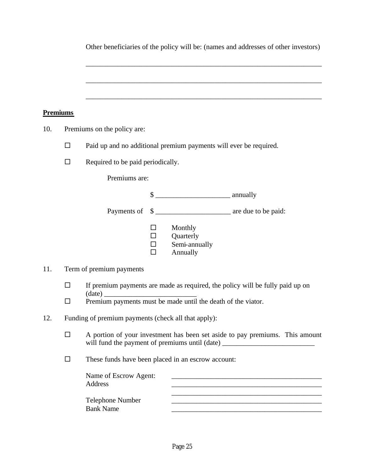|                 |                                                                                                                                                                                                    | Other beneficiaries of the policy will be: (names and addresses of other investors)                                                                              |                                      |                                                   |                                                                                                                  |  |  |
|-----------------|----------------------------------------------------------------------------------------------------------------------------------------------------------------------------------------------------|------------------------------------------------------------------------------------------------------------------------------------------------------------------|--------------------------------------|---------------------------------------------------|------------------------------------------------------------------------------------------------------------------|--|--|
|                 |                                                                                                                                                                                                    |                                                                                                                                                                  |                                      |                                                   |                                                                                                                  |  |  |
| <b>Premiums</b> |                                                                                                                                                                                                    |                                                                                                                                                                  |                                      |                                                   |                                                                                                                  |  |  |
| 10.             | Premiums on the policy are:                                                                                                                                                                        |                                                                                                                                                                  |                                      |                                                   |                                                                                                                  |  |  |
|                 | $\Box$                                                                                                                                                                                             | Paid up and no additional premium payments will ever be required.                                                                                                |                                      |                                                   |                                                                                                                  |  |  |
|                 | $\Box$<br>Required to be paid periodically.                                                                                                                                                        |                                                                                                                                                                  |                                      |                                                   |                                                                                                                  |  |  |
|                 |                                                                                                                                                                                                    | Premiums are:                                                                                                                                                    |                                      |                                                   |                                                                                                                  |  |  |
|                 |                                                                                                                                                                                                    |                                                                                                                                                                  |                                      | $\frac{\text{S}}{\text{S}}$ annually              |                                                                                                                  |  |  |
|                 |                                                                                                                                                                                                    | Payments of                                                                                                                                                      |                                      | \$                                                |                                                                                                                  |  |  |
|                 |                                                                                                                                                                                                    |                                                                                                                                                                  | $\Box$<br>$\Box$<br>$\Box$<br>$\Box$ | Monthly<br>Quarterly<br>Semi-annually<br>Annually |                                                                                                                  |  |  |
| 11.             | Term of premium payments<br>If premium payments are made as required, the policy will be fully paid up on<br>$\Box$<br>(data)<br>Premium payments must be made until the death of the viator.<br>□ |                                                                                                                                                                  |                                      |                                                   |                                                                                                                  |  |  |
|                 |                                                                                                                                                                                                    |                                                                                                                                                                  |                                      |                                                   |                                                                                                                  |  |  |
| 12.             |                                                                                                                                                                                                    |                                                                                                                                                                  |                                      |                                                   |                                                                                                                  |  |  |
|                 | $\Box$                                                                                                                                                                                             | A portion of your investment has been set aside to pay premiums. This amount<br>will fund the payment of premiums until (date) _________________________________ |                                      |                                                   |                                                                                                                  |  |  |
|                 | $\Box$                                                                                                                                                                                             | These funds have been placed in an escrow account:                                                                                                               |                                      |                                                   |                                                                                                                  |  |  |
|                 |                                                                                                                                                                                                    | Name of Escrow Agent:<br><b>Address</b>                                                                                                                          |                                      |                                                   |                                                                                                                  |  |  |
|                 |                                                                                                                                                                                                    | <b>Telephone Number</b><br><b>Bank Name</b>                                                                                                                      |                                      |                                                   | and the control of the control of the control of the control of the control of the control of the control of the |  |  |